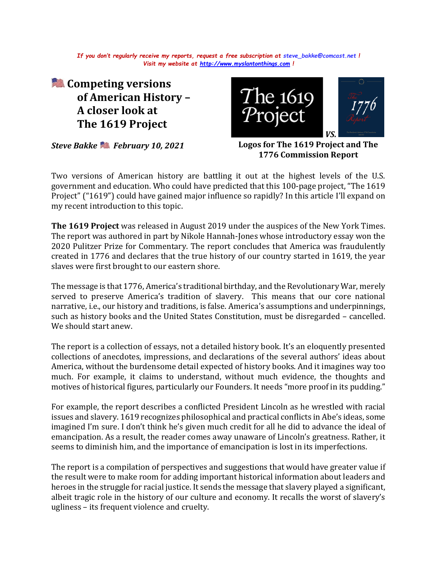*If you don't regularly receive my reports, request a free subscription at [steve\\_bakke@comcast.net](mailto:steve_bakke@comcast.net) ! Visit my website at [http://www.myslantonthings.com](http://www.myslantonthings.com/) !*

**Competing versions of American History – A closer look at The 1619 Project**

*Steve Bakke February 10, 2021*



**Logos for The 1619 Project and The 1776 Commission Report**

Two versions of American history are battling it out at the highest levels of the U.S. government and education. Who could have predicted that this 100-page project, "The 1619 Project" ("1619") could have gained major influence so rapidly? In this article I'll expand on my recent introduction to this topic.

**The 1619 Project** was released in August 2019 under the auspices of the New York Times. The report was authored in part by Nikole Hannah-Jones whose introductory essay won the 2020 Pulitzer Prize for Commentary. The report concludes that America was fraudulently created in 1776 and declares that the true history of our country started in 1619, the year slaves were first brought to our eastern shore.

The message is that 1776, America's traditional birthday, and the Revolutionary War, merely served to preserve America's tradition of slavery. This means that our core national narrative, i.e., our history and traditions, is false. America's assumptions and underpinnings, such as history books and the United States Constitution, must be disregarded – cancelled. We should start anew.

The report is a collection of essays, not a detailed history book. It's an eloquently presented collections of anecdotes, impressions, and declarations of the several authors' ideas about America, without the burdensome detail expected of history books. And it imagines way too much. For example, it claims to understand, without much evidence, the thoughts and motives of historical figures, particularly our Founders. It needs "more proof in its pudding."

For example, the report describes a conflicted President Lincoln as he wrestled with racial issues and slavery. 1619 recognizes philosophical and practical conflicts in Abe's ideas, some imagined I'm sure. I don't think he's given much credit for all he did to advance the ideal of emancipation. As a result, the reader comes away unaware of Lincoln's greatness. Rather, it seems to diminish him, and the importance of emancipation is lost in its imperfections.

The report is a compilation of perspectives and suggestions that would have greater value if the result were to make room for adding important historical information about leaders and heroes in the struggle for racial justice. It sends the message that slavery played a significant, albeit tragic role in the history of our culture and economy. It recalls the worst of slavery's ugliness – its frequent violence and cruelty.